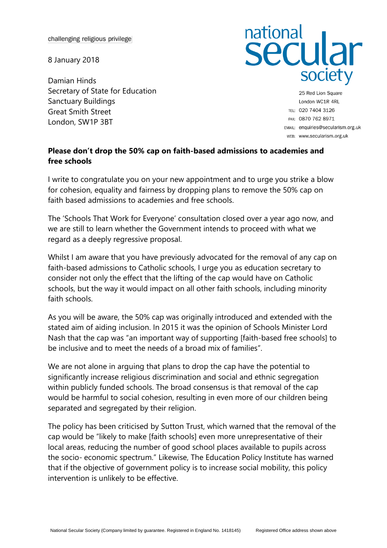challenging religious privilege

8 January 2018

Damian Hinds Secretary of State for Education Sanctuary Buildings Great Smith Street London, SW1P 3BT

## national<br>Secular society

25 Red Lion Square London WC1R 4RL TEL: 020 7404 3126 FAX: 0870 762 8971 EMAIL: enquiries@secularism.org.uk WEB: www.secularism.org.uk

## **Please don't drop the 50% cap on faith-based admissions to academies and free schools**

I write to congratulate you on your new appointment and to urge you strike a blow for cohesion, equality and fairness by dropping plans to remove the 50% cap on faith based admissions to academies and free schools.

The 'Schools That Work for Everyone' consultation closed over a year ago now, and we are still to learn whether the Government intends to proceed with what we regard as a deeply regressive proposal.

Whilst I am aware that you have previously advocated for the removal of any cap on faith-based admissions to Catholic schools, I urge you as education secretary to consider not only the effect that the lifting of the cap would have on Catholic schools, but the way it would impact on all other faith schools, including minority faith schools.

As you will be aware, the 50% cap was originally introduced and extended with the stated aim of aiding inclusion. In 2015 it was the opinion of Schools Minister Lord Nash that the cap was "an important way of supporting [faith-based free schools] to be inclusive and to meet the needs of a broad mix of families".

We are not alone in arguing that plans to drop the cap have the potential to significantly increase religious discrimination and social and ethnic segregation within publicly funded schools. The broad consensus is that removal of the cap would be harmful to social cohesion, resulting in even more of our children being separated and segregated by their religion.

The policy has been criticised by Sutton Trust, which warned that the removal of the cap would be "likely to make [faith schools] even more unrepresentative of their local areas, reducing the number of good school places available to pupils across the socio- economic spectrum." Likewise, The Education Policy Institute has warned that if the objective of government policy is to increase social mobility, this policy intervention is unlikely to be effective.